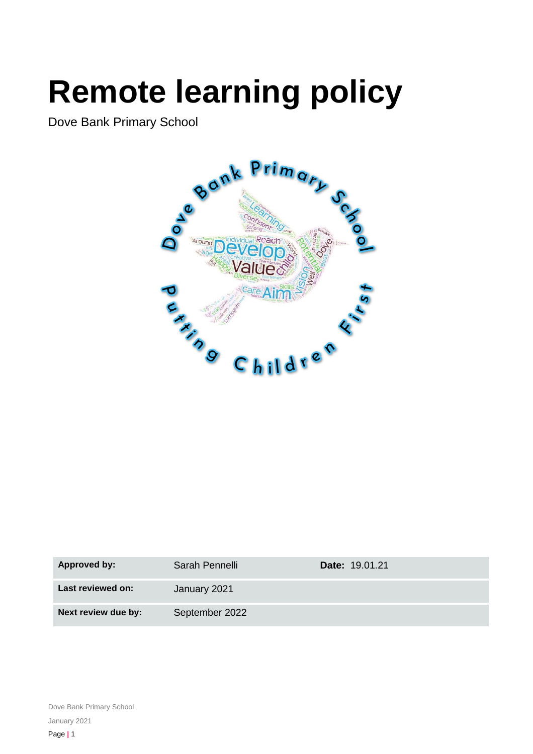# **Remote learning policy**

Dove Bank Primary School



| <b>Approved by:</b> | Sarah Pennelli | <b>Date: 19.01.21</b> |
|---------------------|----------------|-----------------------|
| Last reviewed on:   | January 2021   |                       |
| Next review due by: | September 2022 |                       |

Dove Bank Primary School January 2021 Page **|** 1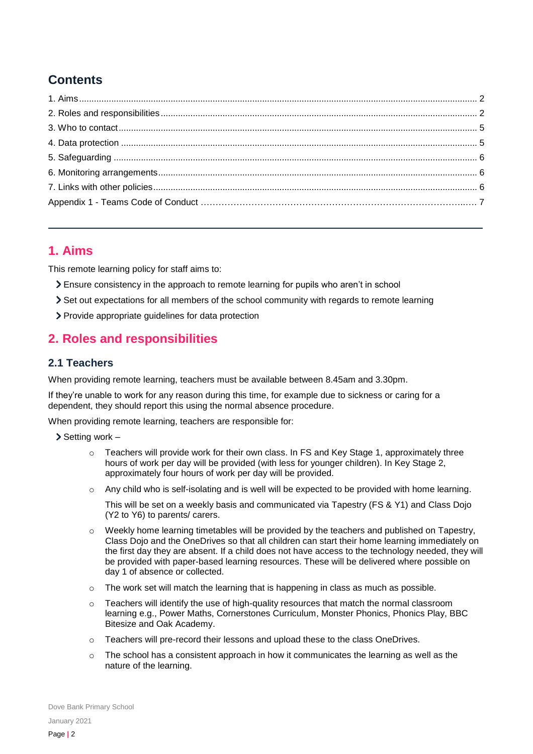## **Contents**

## <span id="page-1-0"></span>**1. Aims**

This remote learning policy for staff aims to:

- Ensure consistency in the approach to remote learning for pupils who aren't in school
- Set out expectations for all members of the school community with regards to remote learning
- > Provide appropriate guidelines for data protection

## <span id="page-1-1"></span>**2. Roles and responsibilities**

## **2.1 Teachers**

When providing remote learning, teachers must be available between 8.45am and 3.30pm.

If they're unable to work for any reason during this time, for example due to sickness or caring for a dependent, they should report this using the normal absence procedure.

When providing remote learning, teachers are responsible for:

- $\triangleright$  Setting work
	- $\circ$  Teachers will provide work for their own class. In FS and Key Stage 1, approximately three hours of work per day will be provided (with less for younger children). In Key Stage 2, approximately four hours of work per day will be provided.
	- o Any child who is self-isolating and is well will be expected to be provided with home learning.

This will be set on a weekly basis and communicated via Tapestry (FS & Y1) and Class Dojo (Y2 to Y6) to parents/ carers.

- $\circ$  Weekly home learning timetables will be provided by the teachers and published on Tapestry, Class Dojo and the OneDrives so that all children can start their home learning immediately on the first day they are absent. If a child does not have access to the technology needed, they will be provided with paper-based learning resources. These will be delivered where possible on day 1 of absence or collected.
- $\circ$  The work set will match the learning that is happening in class as much as possible.
- $\circ$  Teachers will identify the use of high-quality resources that match the normal classroom learning e.g., Power Maths, Cornerstones Curriculum, Monster Phonics, Phonics Play, BBC Bitesize and Oak Academy.
- o Teachers will pre-record their lessons and upload these to the class OneDrives.
- $\circ$  The school has a consistent approach in how it communicates the learning as well as the nature of the learning.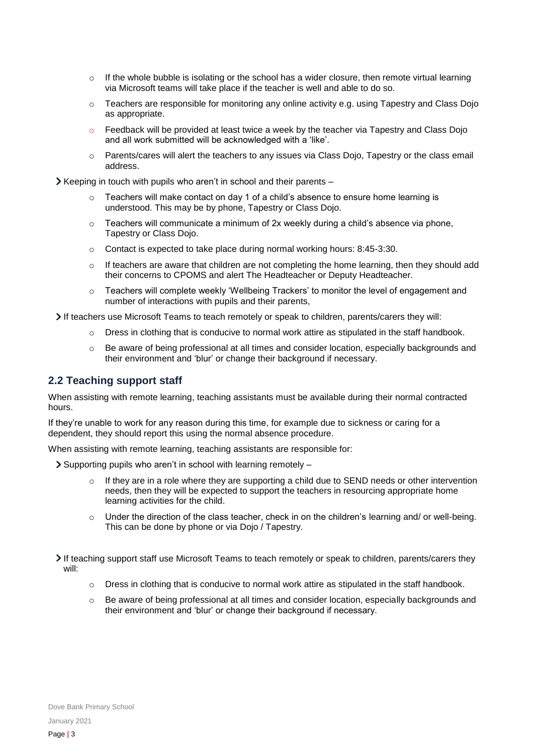- $\circ$  If the whole bubble is isolating or the school has a wider closure, then remote virtual learning via Microsoft teams will take place if the teacher is well and able to do so.
- $\circ$  Teachers are responsible for monitoring any online activity e.g. using Tapestry and Class Dojo as appropriate.
- Feedback will be provided at least twice a week by the teacher via Tapestry and Class Dojo and all work submitted will be acknowledged with a 'like'.
- $\circ$  Parents/cares will alert the teachers to any issues via Class Dojo, Tapestry or the class email address.

 $\blacktriangleright$  Keeping in touch with pupils who aren't in school and their parents –

- $\circ$  Teachers will make contact on day 1 of a child's absence to ensure home learning is understood. This may be by phone, Tapestry or Class Dojo.
- $\circ$  Teachers will communicate a minimum of 2x weekly during a child's absence via phone, Tapestry or Class Dojo.
- o Contact is expected to take place during normal working hours: 8:45-3:30.
- $\circ$  If teachers are aware that children are not completing the home learning, then they should add their concerns to CPOMS and alert The Headteacher or Deputy Headteacher.
- Teachers will complete weekly 'Wellbeing Trackers' to monitor the level of engagement and number of interactions with pupils and their parents,

If teachers use Microsoft Teams to teach remotely or speak to children, parents/carers they will:

- $\circ$  Dress in clothing that is conducive to normal work attire as stipulated in the staff handbook.
- o Be aware of being professional at all times and consider location, especially backgrounds and their environment and 'blur' or change their background if necessary.

## **2.2 Teaching support staff**

When assisting with remote learning, teaching assistants must be available during their normal contracted hours.

If they're unable to work for any reason during this time, for example due to sickness or caring for a dependent, they should report this using the normal absence procedure.

When assisting with remote learning, teaching assistants are responsible for:

- $\geq$  Supporting pupils who aren't in school with learning remotely
	- $\circ$  If they are in a role where they are supporting a child due to SEND needs or other intervention needs, then they will be expected to support the teachers in resourcing appropriate home learning activities for the child.
	- $\circ$  Under the direction of the class teacher, check in on the children's learning and/ or well-being. This can be done by phone or via Dojo / Tapestry.
- If teaching support staff use Microsoft Teams to teach remotely or speak to children, parents/carers they will:
	- $\circ$  Dress in clothing that is conducive to normal work attire as stipulated in the staff handbook.
	- Be aware of being professional at all times and consider location, especially backgrounds and their environment and 'blur' or change their background if necessary.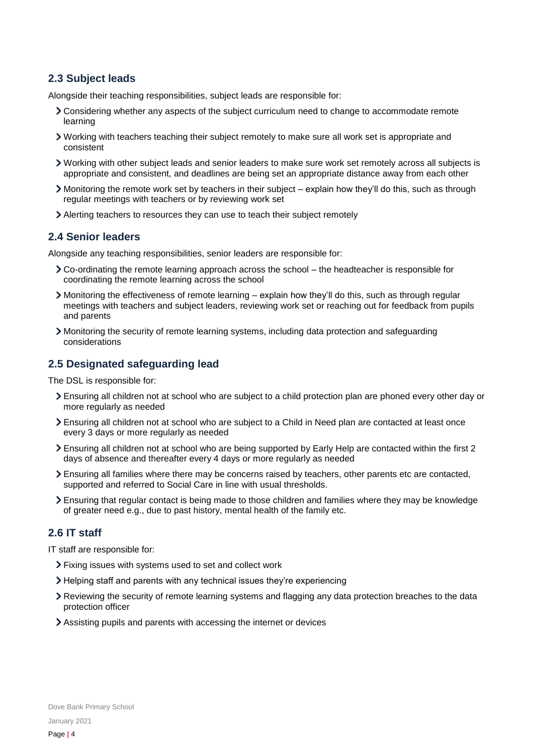## **2.3 Subject leads**

Alongside their teaching responsibilities, subject leads are responsible for:

- Considering whether any aspects of the subject curriculum need to change to accommodate remote learning
- Working with teachers teaching their subject remotely to make sure all work set is appropriate and consistent
- Working with other subject leads and senior leaders to make sure work set remotely across all subjects is appropriate and consistent, and deadlines are being set an appropriate distance away from each other
- Monitoring the remote work set by teachers in their subject explain how they'll do this, such as through regular meetings with teachers or by reviewing work set
- Alerting teachers to resources they can use to teach their subject remotely

#### **2.4 Senior leaders**

Alongside any teaching responsibilities, senior leaders are responsible for:

- Co-ordinating the remote learning approach across the school the headteacher is responsible for coordinating the remote learning across the school
- Monitoring the effectiveness of remote learning explain how they'll do this, such as through regular meetings with teachers and subject leaders, reviewing work set or reaching out for feedback from pupils and parents
- Monitoring the security of remote learning systems, including data protection and safeguarding considerations

## **2.5 Designated safeguarding lead**

The DSL is responsible for:

- Ensuring all children not at school who are subject to a child protection plan are phoned every other day or more regularly as needed
- Ensuring all children not at school who are subject to a Child in Need plan are contacted at least once every 3 days or more regularly as needed
- Ensuring all children not at school who are being supported by Early Help are contacted within the first 2 days of absence and thereafter every 4 days or more regularly as needed
- Ensuring all families where there may be concerns raised by teachers, other parents etc are contacted, supported and referred to Social Care in line with usual thresholds.
- Ensuring that regular contact is being made to those children and families where they may be knowledge of greater need e.g., due to past history, mental health of the family etc.

## **2.6 IT staff**

IT staff are responsible for:

- Fixing issues with systems used to set and collect work
- Helping staff and parents with any technical issues they're experiencing
- Reviewing the security of remote learning systems and flagging any data protection breaches to the data protection officer
- Assisting pupils and parents with accessing the internet or devices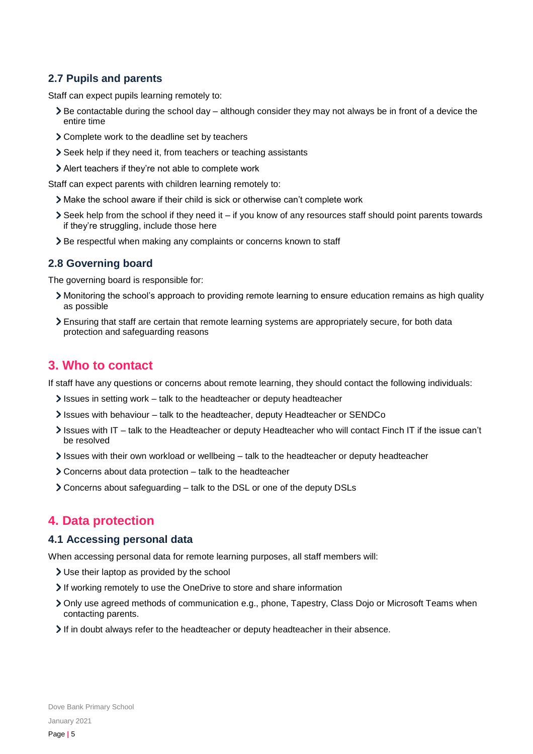## **2.7 Pupils and parents**

Staff can expect pupils learning remotely to:

- $\geq$  Be contactable during the school day although consider they may not always be in front of a device the entire time
- Complete work to the deadline set by teachers
- Seek help if they need it, from teachers or teaching assistants
- Alert teachers if they're not able to complete work

Staff can expect parents with children learning remotely to:

- Make the school aware if their child is sick or otherwise can't complete work
- Seek help from the school if they need it if you know of any resources staff should point parents towards if they're struggling, include those here
- > Be respectful when making any complaints or concerns known to staff

#### **2.8 Governing board**

The governing board is responsible for:

- Monitoring the school's approach to providing remote learning to ensure education remains as high quality as possible
- Ensuring that staff are certain that remote learning systems are appropriately secure, for both data protection and safeguarding reasons

## <span id="page-4-0"></span>**3. Who to contact**

If staff have any questions or concerns about remote learning, they should contact the following individuals:

- $\ge$  Issues in setting work talk to the headteacher or deputy headteacher
- Issues with behaviour talk to the headteacher, deputy Headteacher or SENDCo
- Issues with IT talk to the Headteacher or deputy Headteacher who will contact Finch IT if the issue can't be resolved
- Issues with their own workload or wellbeing talk to the headteacher or deputy headteacher
- Concerns about data protection talk to the headteacher
- Concerns about safeguarding talk to the DSL or one of the deputy DSLs

## <span id="page-4-1"></span>**4. Data protection**

#### **4.1 Accessing personal data**

When accessing personal data for remote learning purposes, all staff members will:

- Use their laptop as provided by the school
- If working remotely to use the OneDrive to store and share information
- Only use agreed methods of communication e.g., phone, Tapestry, Class Dojo or Microsoft Teams when contacting parents.
- If in doubt always refer to the headteacher or deputy headteacher in their absence.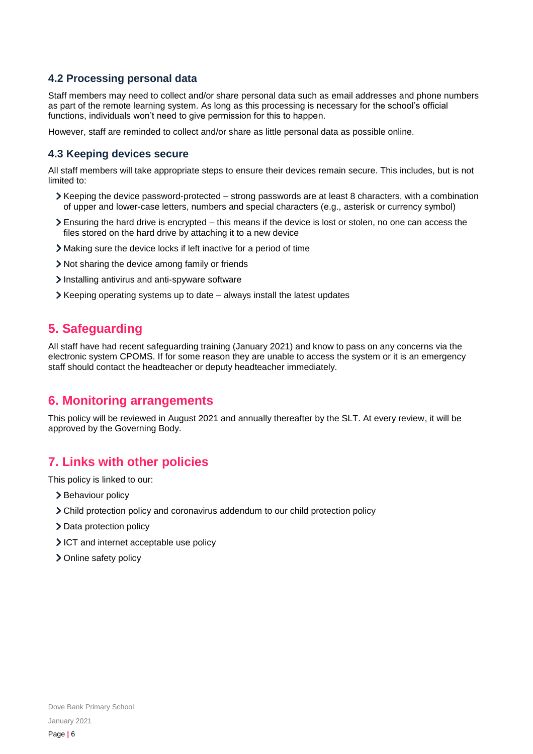## **4.2 Processing personal data**

Staff members may need to collect and/or share personal data such as email addresses and phone numbers as part of the remote learning system. As long as this processing is necessary for the school's official functions, individuals won't need to give permission for this to happen.

However, staff are reminded to collect and/or share as little personal data as possible online.

#### **4.3 Keeping devices secure**

All staff members will take appropriate steps to ensure their devices remain secure. This includes, but is not limited to:

- Keeping the device password-protected strong passwords are at least 8 characters, with a combination of upper and lower-case letters, numbers and special characters (e.g., asterisk or currency symbol)
- Ensuring the hard drive is encrypted this means if the device is lost or stolen, no one can access the files stored on the hard drive by attaching it to a new device
- Making sure the device locks if left inactive for a period of time
- Not sharing the device among family or friends
- Installing antivirus and anti-spyware software
- $\blacktriangleright$  Keeping operating systems up to date always install the latest updates

## <span id="page-5-0"></span>**5. Safeguarding**

All staff have had recent safeguarding training (January 2021) and know to pass on any concerns via the electronic system CPOMS. If for some reason they are unable to access the system or it is an emergency staff should contact the headteacher or deputy headteacher immediately.

## <span id="page-5-1"></span>**6. Monitoring arrangements**

This policy will be reviewed in August 2021 and annually thereafter by the SLT. At every review, it will be approved by the Governing Body.

## <span id="page-5-2"></span>**7. Links with other policies**

This policy is linked to our:

- > Behaviour policy
- Child protection policy and coronavirus addendum to our child protection policy
- > Data protection policy
- ICT and internet acceptable use policy
- > Online safety policy